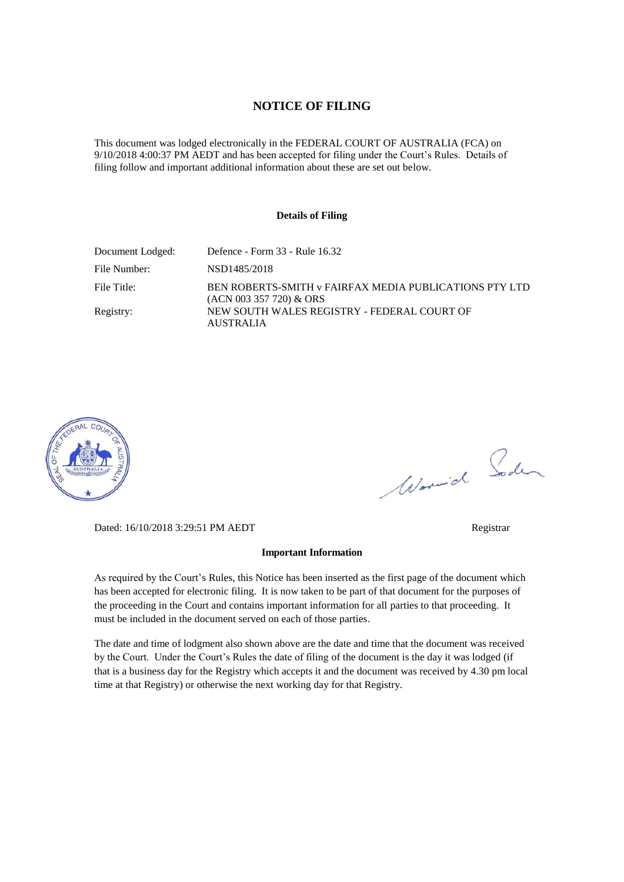#### **NOTICE OF FILING**

This document was lodged electronically in the FEDERAL COURT OF AUSTRALIA (FCA) on 9/10/2018 4:00:37 PM AEDT and has been accepted for filing under the Court's Rules. Details of filing follow and important additional information about these are set out below.

#### **Details of Filing**

| Document Lodged: | Defence - Form 33 - Rule 16.32                                                      |
|------------------|-------------------------------------------------------------------------------------|
| File Number:     | NSD1485/2018                                                                        |
| File Title:      | BEN ROBERTS-SMITH v FAIRFAX MEDIA PUBLICATIONS PTY LTD<br>$(ACN 003 357 720)$ & ORS |
| Registry:        | NEW SOUTH WALES REGISTRY - FEDERAL COURT OF<br><b>AUSTRALIA</b>                     |



Worwich Soden

Dated: 16/10/2018 3:29:51 PM AEDT Registrar

#### **Important Information**

As required by the Court's Rules, this Notice has been inserted as the first page of the document which has been accepted for electronic filing. It is now taken to be part of that document for the purposes of the proceeding in the Court and contains important information for all parties to that proceeding. It must be included in the document served on each of those parties.

The date and time of lodgment also shown above are the date and time that the document was received by the Court. Under the Court's Rules the date of filing of the document is the day it was lodged (if that is a business day for the Registry which accepts it and the document was received by 4.30 pm local time at that Registry) or otherwise the next working day for that Registry.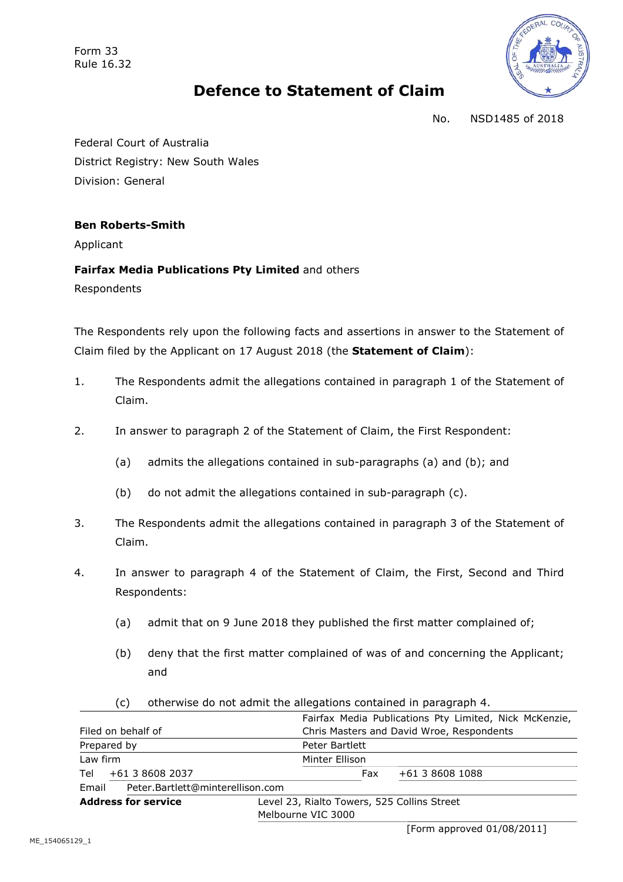Form 33 Rule 16.32



# **Defence to Statement of Claim**

No. NSD1485 of 2018

Federal Court of Australia District Registry: New South Wales Division: General

# **Ben Roberts-Smith**

Applicant

# **Fairfax Media Publications Pty Limited** and others

Respondents

The Respondents rely upon the following facts and assertions in answer to the Statement of Claim filed by the Applicant on 17 August 2018 (the **Statement of Claim**):

- 1. The Respondents admit the allegations contained in paragraph 1 of the Statement of Claim.
- 2. In answer to paragraph 2 of the Statement of Claim, the First Respondent:
	- (a) admits the allegations contained in sub-paragraphs (a) and (b); and
	- (b) do not admit the allegations contained in sub-paragraph (c).
- 3. The Respondents admit the allegations contained in paragraph 3 of the Statement of Claim.
- 4. In answer to paragraph 4 of the Statement of Claim, the First, Second and Third Respondents:
	- (a) admit that on 9 June 2018 they published the first matter complained of;
	- (b) deny that the first matter complained of was of and concerning the Applicant; and

| <b>Address for service</b> |                                                                         | Melbourne VIC 3000               | Level 23, Rialto Towers, 525 Collins Street            |                 |  |  |
|----------------------------|-------------------------------------------------------------------------|----------------------------------|--------------------------------------------------------|-----------------|--|--|
| Email                      |                                                                         | Peter.Bartlett@minterellison.com |                                                        |                 |  |  |
| Tel                        | +61 3 8608 2037                                                         |                                  | Fax                                                    | +61 3 8608 1088 |  |  |
| Law firm                   |                                                                         | Minter Ellison                   |                                                        |                 |  |  |
| Prepared by                |                                                                         |                                  | Peter Bartlett                                         |                 |  |  |
| Filed on behalf of         |                                                                         |                                  | Chris Masters and David Wroe, Respondents              |                 |  |  |
|                            |                                                                         |                                  | Fairfax Media Publications Pty Limited, Nick McKenzie, |                 |  |  |
|                            | (C)<br>otherwise do not admit the allegations contained in paragraph 4. |                                  |                                                        |                 |  |  |

(c) otherwise do not admit the allegations contained in paragraph 4.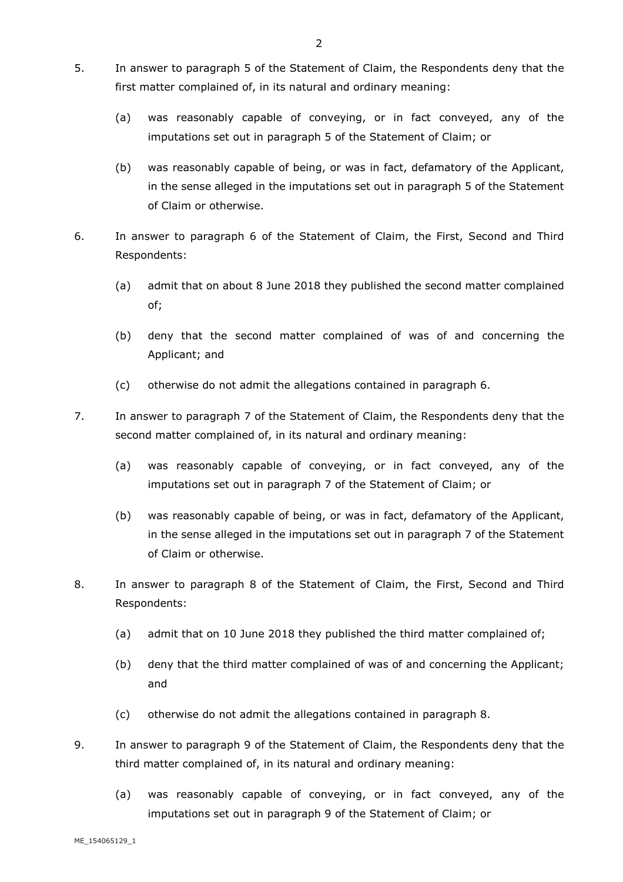- 5. In answer to paragraph 5 of the Statement of Claim, the Respondents deny that the first matter complained of, in its natural and ordinary meaning:
	- (a) was reasonably capable of conveying, or in fact conveyed, any of the imputations set out in paragraph 5 of the Statement of Claim; or
	- (b) was reasonably capable of being, or was in fact, defamatory of the Applicant, in the sense alleged in the imputations set out in paragraph 5 of the Statement of Claim or otherwise.
- 6. In answer to paragraph 6 of the Statement of Claim, the First, Second and Third Respondents:
	- (a) admit that on about 8 June 2018 they published the second matter complained of;
	- (b) deny that the second matter complained of was of and concerning the Applicant; and
	- (c) otherwise do not admit the allegations contained in paragraph 6.
- 7. In answer to paragraph 7 of the Statement of Claim, the Respondents deny that the second matter complained of, in its natural and ordinary meaning:
	- (a) was reasonably capable of conveying, or in fact conveyed, any of the imputations set out in paragraph 7 of the Statement of Claim; or
	- (b) was reasonably capable of being, or was in fact, defamatory of the Applicant, in the sense alleged in the imputations set out in paragraph 7 of the Statement of Claim or otherwise.
- 8. In answer to paragraph 8 of the Statement of Claim, the First, Second and Third Respondents:
	- (a) admit that on 10 June 2018 they published the third matter complained of;
	- (b) deny that the third matter complained of was of and concerning the Applicant; and
	- (c) otherwise do not admit the allegations contained in paragraph 8.
- 9. In answer to paragraph 9 of the Statement of Claim, the Respondents deny that the third matter complained of, in its natural and ordinary meaning:
	- (a) was reasonably capable of conveying, or in fact conveyed, any of the imputations set out in paragraph 9 of the Statement of Claim; or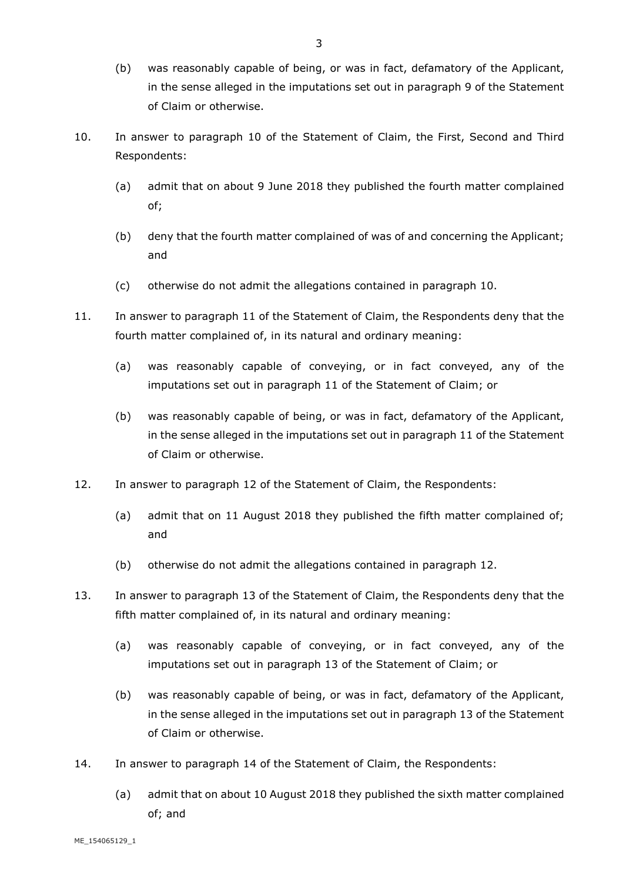- (b) was reasonably capable of being, or was in fact, defamatory of the Applicant, in the sense alleged in the imputations set out in paragraph 9 of the Statement of Claim or otherwise.
- 10. In answer to paragraph 10 of the Statement of Claim, the First, Second and Third Respondents:
	- (a) admit that on about 9 June 2018 they published the fourth matter complained of;
	- (b) deny that the fourth matter complained of was of and concerning the Applicant; and
	- (c) otherwise do not admit the allegations contained in paragraph 10.
- 11. In answer to paragraph 11 of the Statement of Claim, the Respondents deny that the fourth matter complained of, in its natural and ordinary meaning:
	- (a) was reasonably capable of conveying, or in fact conveyed, any of the imputations set out in paragraph 11 of the Statement of Claim; or
	- (b) was reasonably capable of being, or was in fact, defamatory of the Applicant, in the sense alleged in the imputations set out in paragraph 11 of the Statement of Claim or otherwise.
- 12. In answer to paragraph 12 of the Statement of Claim, the Respondents:
	- (a) admit that on 11 August 2018 they published the fifth matter complained of; and
	- (b) otherwise do not admit the allegations contained in paragraph 12.
- 13. In answer to paragraph 13 of the Statement of Claim, the Respondents deny that the fifth matter complained of, in its natural and ordinary meaning:
	- (a) was reasonably capable of conveying, or in fact conveyed, any of the imputations set out in paragraph 13 of the Statement of Claim; or
	- (b) was reasonably capable of being, or was in fact, defamatory of the Applicant, in the sense alleged in the imputations set out in paragraph 13 of the Statement of Claim or otherwise.
- 14. In answer to paragraph 14 of the Statement of Claim, the Respondents:
	- (a) admit that on about 10 August 2018 they published the sixth matter complained of; and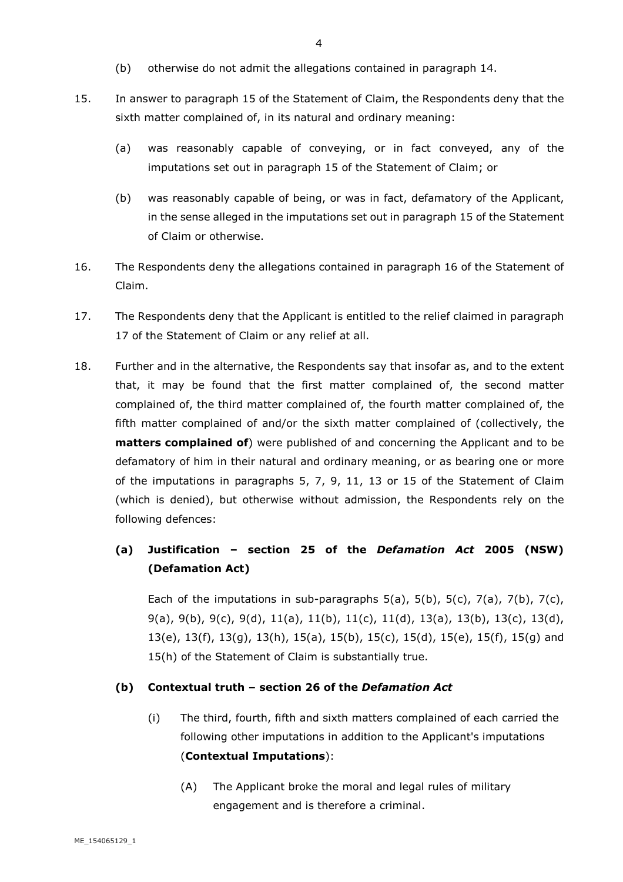- (b) otherwise do not admit the allegations contained in paragraph 14.
- 15. In answer to paragraph 15 of the Statement of Claim, the Respondents deny that the sixth matter complained of, in its natural and ordinary meaning:
	- (a) was reasonably capable of conveying, or in fact conveyed, any of the imputations set out in paragraph 15 of the Statement of Claim; or
	- (b) was reasonably capable of being, or was in fact, defamatory of the Applicant, in the sense alleged in the imputations set out in paragraph 15 of the Statement of Claim or otherwise.
- 16. The Respondents deny the allegations contained in paragraph 16 of the Statement of Claim.
- 17. The Respondents deny that the Applicant is entitled to the relief claimed in paragraph 17 of the Statement of Claim or any relief at all.
- 18. Further and in the alternative, the Respondents say that insofar as, and to the extent that, it may be found that the first matter complained of, the second matter complained of, the third matter complained of, the fourth matter complained of, the fifth matter complained of and/or the sixth matter complained of (collectively, the **matters complained of**) were published of and concerning the Applicant and to be defamatory of him in their natural and ordinary meaning, or as bearing one or more of the imputations in paragraphs 5, 7, 9, 11, 13 or 15 of the Statement of Claim (which is denied), but otherwise without admission, the Respondents rely on the following defences:

# **(a) Justification – section 25 of the** *Defamation Act* **2005 (NSW) (Defamation Act)**

Each of the imputations in sub-paragraphs  $5(a)$ ,  $5(b)$ ,  $5(c)$ ,  $7(a)$ ,  $7(b)$ ,  $7(c)$ , 9(a), 9(b), 9(c), 9(d), 11(a), 11(b), 11(c), 11(d), 13(a), 13(b), 13(c), 13(d), 13(e), 13(f), 13(g), 13(h), 15(a), 15(b), 15(c), 15(d), 15(e), 15(f), 15(g) and 15(h) of the Statement of Claim is substantially true.

#### **(b) Contextual truth – section 26 of the** *Defamation Act*

- (i) The third, fourth, fifth and sixth matters complained of each carried the following other imputations in addition to the Applicant's imputations (**Contextual Imputations**):
	- (A) The Applicant broke the moral and legal rules of military engagement and is therefore a criminal.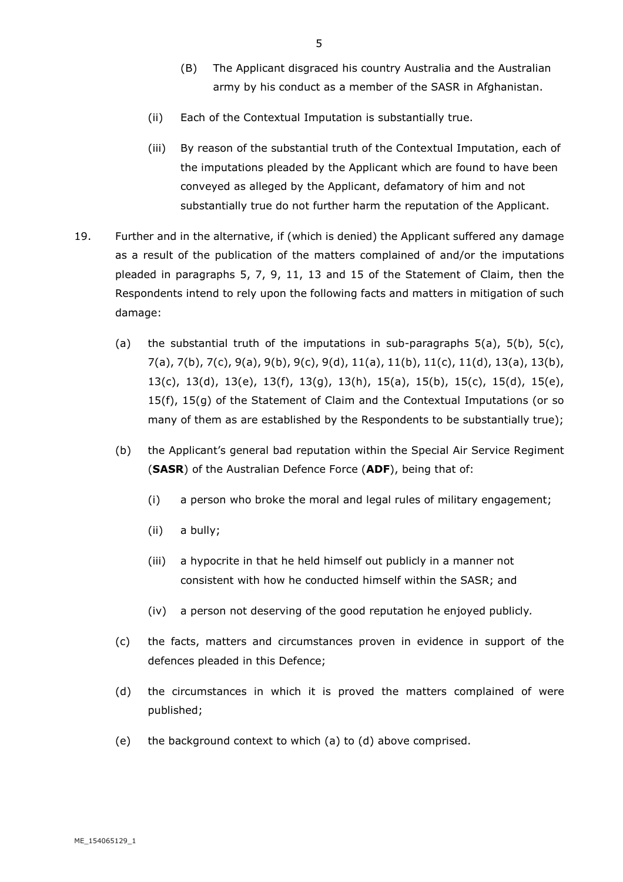- (B) The Applicant disgraced his country Australia and the Australian army by his conduct as a member of the SASR in Afghanistan.
- (ii) Each of the Contextual Imputation is substantially true.
- (iii) By reason of the substantial truth of the Contextual Imputation, each of the imputations pleaded by the Applicant which are found to have been conveyed as alleged by the Applicant, defamatory of him and not substantially true do not further harm the reputation of the Applicant.
- 19. Further and in the alternative, if (which is denied) the Applicant suffered any damage as a result of the publication of the matters complained of and/or the imputations pleaded in paragraphs 5, 7, 9, 11, 13 and 15 of the Statement of Claim, then the Respondents intend to rely upon the following facts and matters in mitigation of such damage:
	- (a) the substantial truth of the imputations in sub-paragraphs  $5(a)$ ,  $5(b)$ ,  $5(c)$ , 7(a), 7(b), 7(c), 9(a), 9(b), 9(c), 9(d), 11(a), 11(b), 11(c), 11(d), 13(a), 13(b), 13(c), 13(d), 13(e), 13(f), 13(g), 13(h), 15(a), 15(b), 15(c), 15(d), 15(e), 15(f), 15(g) of the Statement of Claim and the Contextual Imputations (or so many of them as are established by the Respondents to be substantially true);
	- (b) the Applicant's general bad reputation within the Special Air Service Regiment (**SASR**) of the Australian Defence Force (**ADF**), being that of:
		- (i) a person who broke the moral and legal rules of military engagement;
		- (ii) a bully;
		- (iii) a hypocrite in that he held himself out publicly in a manner not consistent with how he conducted himself within the SASR; and
		- (iv) a person not deserving of the good reputation he enjoyed publicly*.*
	- (c) the facts, matters and circumstances proven in evidence in support of the defences pleaded in this Defence;
	- (d) the circumstances in which it is proved the matters complained of were published;
	- (e) the background context to which (a) to (d) above comprised.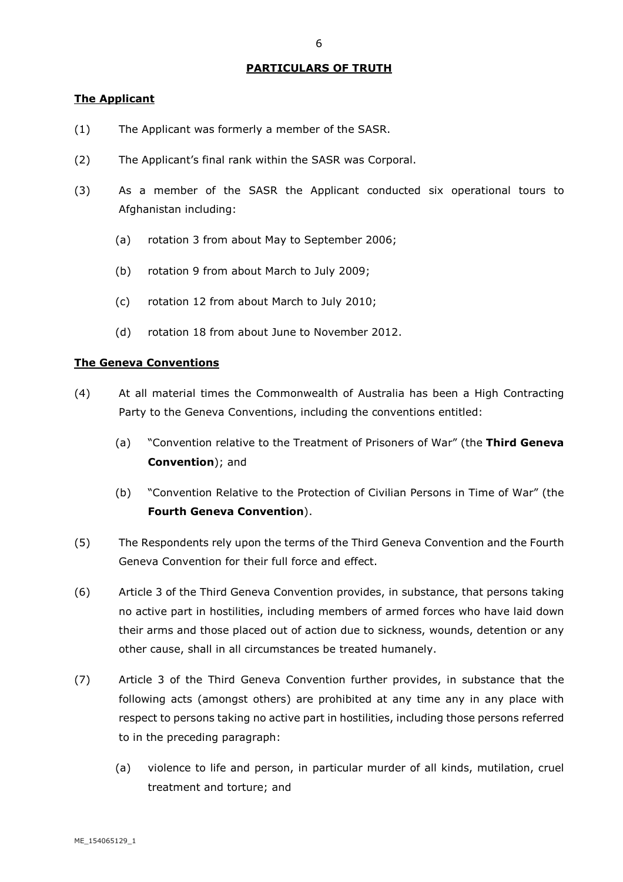#### **PARTICULARS OF TRUTH**

## **The Applicant**

- (1) The Applicant was formerly a member of the SASR.
- (2) The Applicant's final rank within the SASR was Corporal.
- (3) As a member of the SASR the Applicant conducted six operational tours to Afghanistan including:
	- (a) rotation 3 from about May to September 2006;
	- (b) rotation 9 from about March to July 2009;
	- (c) rotation 12 from about March to July 2010;
	- (d) rotation 18 from about June to November 2012.

#### **The Geneva Conventions**

- (4) At all material times the Commonwealth of Australia has been a High Contracting Party to the Geneva Conventions, including the conventions entitled:
	- (a) "Convention relative to the Treatment of Prisoners of War" (the **Third Geneva Convention**); and
	- (b) "Convention Relative to the Protection of Civilian Persons in Time of War" (the **Fourth Geneva Convention**).
- (5) The Respondents rely upon the terms of the Third Geneva Convention and the Fourth Geneva Convention for their full force and effect.
- (6) Article 3 of the Third Geneva Convention provides, in substance, that persons taking no active part in hostilities, including members of armed forces who have laid down their arms and those placed out of action due to sickness, wounds, detention or any other cause, shall in all circumstances be treated humanely.
- (7) Article 3 of the Third Geneva Convention further provides, in substance that the following acts (amongst others) are prohibited at any time any in any place with respect to persons taking no active part in hostilities, including those persons referred to in the preceding paragraph:
	- (a) violence to life and person, in particular murder of all kinds, mutilation, cruel treatment and torture; and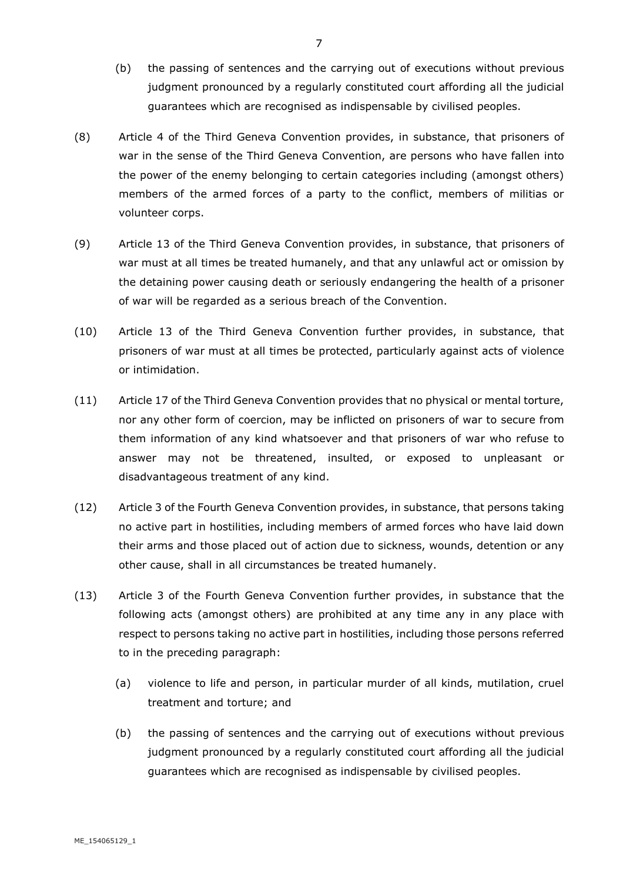- (b) the passing of sentences and the carrying out of executions without previous judgment pronounced by a regularly constituted court affording all the judicial guarantees which are recognised as indispensable by civilised peoples.
- (8) Article 4 of the Third Geneva Convention provides, in substance, that prisoners of war in the sense of the Third Geneva Convention, are persons who have fallen into the power of the enemy belonging to certain categories including (amongst others) members of the armed forces of a party to the conflict, members of militias or volunteer corps.
- (9) Article 13 of the Third Geneva Convention provides, in substance, that prisoners of war must at all times be treated humanely, and that any unlawful act or omission by the detaining power causing death or seriously endangering the health of a prisoner of war will be regarded as a serious breach of the Convention.
- (10) Article 13 of the Third Geneva Convention further provides, in substance, that prisoners of war must at all times be protected, particularly against acts of violence or intimidation.
- (11) Article 17 of the Third Geneva Convention provides that no physical or mental torture, nor any other form of coercion, may be inflicted on prisoners of war to secure from them information of any kind whatsoever and that prisoners of war who refuse to answer may not be threatened, insulted, or exposed to unpleasant or disadvantageous treatment of any kind.
- (12) Article 3 of the Fourth Geneva Convention provides, in substance, that persons taking no active part in hostilities, including members of armed forces who have laid down their arms and those placed out of action due to sickness, wounds, detention or any other cause, shall in all circumstances be treated humanely.
- (13) Article 3 of the Fourth Geneva Convention further provides, in substance that the following acts (amongst others) are prohibited at any time any in any place with respect to persons taking no active part in hostilities, including those persons referred to in the preceding paragraph:
	- (a) violence to life and person, in particular murder of all kinds, mutilation, cruel treatment and torture; and
	- (b) the passing of sentences and the carrying out of executions without previous judgment pronounced by a regularly constituted court affording all the judicial guarantees which are recognised as indispensable by civilised peoples.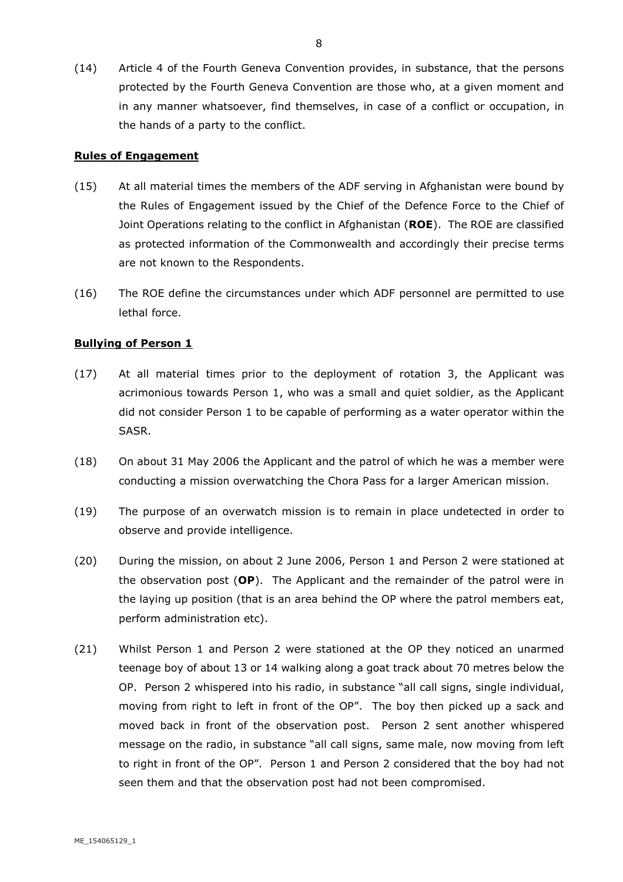(14) Article 4 of the Fourth Geneva Convention provides, in substance, that the persons protected by the Fourth Geneva Convention are those who, at a given moment and in any manner whatsoever, find themselves, in case of a conflict or occupation, in the hands of a party to the conflict.

## **Rules of Engagement**

- (15) At all material times the members of the ADF serving in Afghanistan were bound by the Rules of Engagement issued by the Chief of the Defence Force to the Chief of Joint Operations relating to the conflict in Afghanistan (**ROE**). The ROE are classified as protected information of the Commonwealth and accordingly their precise terms are not known to the Respondents.
- (16) The ROE define the circumstances under which ADF personnel are permitted to use lethal force.

## **Bullying of Person 1**

- (17) At all material times prior to the deployment of rotation 3, the Applicant was acrimonious towards Person 1, who was a small and quiet soldier, as the Applicant did not consider Person 1 to be capable of performing as a water operator within the SASR.
- (18) On about 31 May 2006 the Applicant and the patrol of which he was a member were conducting a mission overwatching the Chora Pass for a larger American mission.
- (19) The purpose of an overwatch mission is to remain in place undetected in order to observe and provide intelligence.
- (20) During the mission, on about 2 June 2006, Person 1 and Person 2 were stationed at the observation post (**OP**). The Applicant and the remainder of the patrol were in the laying up position (that is an area behind the OP where the patrol members eat, perform administration etc).
- (21) Whilst Person 1 and Person 2 were stationed at the OP they noticed an unarmed teenage boy of about 13 or 14 walking along a goat track about 70 metres below the OP. Person 2 whispered into his radio, in substance "all call signs, single individual, moving from right to left in front of the OP". The boy then picked up a sack and moved back in front of the observation post. Person 2 sent another whispered message on the radio, in substance "all call signs, same male, now moving from left to right in front of the OP". Person 1 and Person 2 considered that the boy had not seen them and that the observation post had not been compromised.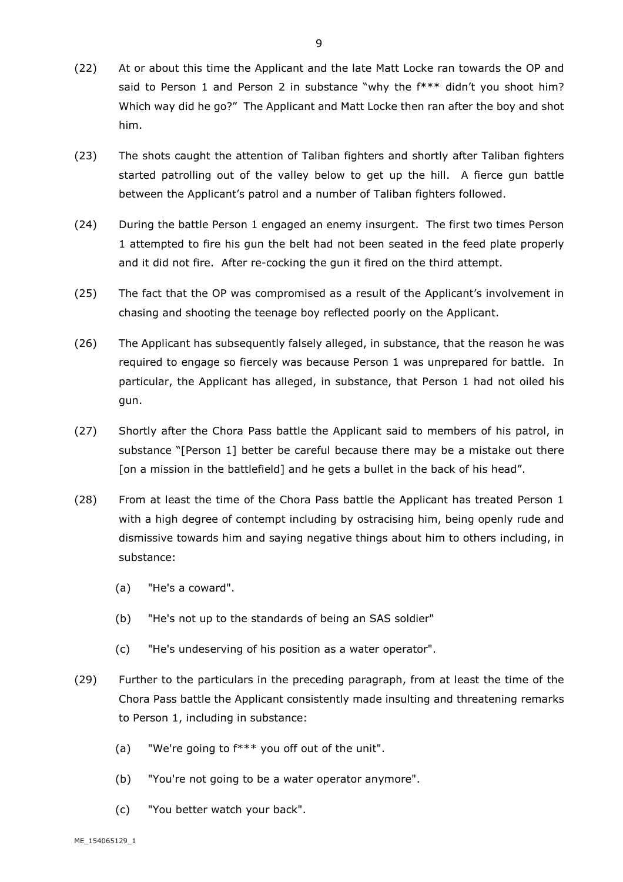- (22) At or about this time the Applicant and the late Matt Locke ran towards the OP and said to Person 1 and Person 2 in substance "why the f\*\*\* didn't you shoot him? Which way did he go?" The Applicant and Matt Locke then ran after the boy and shot him.
- (23) The shots caught the attention of Taliban fighters and shortly after Taliban fighters started patrolling out of the valley below to get up the hill. A fierce gun battle between the Applicant's patrol and a number of Taliban fighters followed.
- (24) During the battle Person 1 engaged an enemy insurgent. The first two times Person 1 attempted to fire his gun the belt had not been seated in the feed plate properly and it did not fire. After re-cocking the gun it fired on the third attempt.
- (25) The fact that the OP was compromised as a result of the Applicant's involvement in chasing and shooting the teenage boy reflected poorly on the Applicant.
- (26) The Applicant has subsequently falsely alleged, in substance, that the reason he was required to engage so fiercely was because Person 1 was unprepared for battle. In particular, the Applicant has alleged, in substance, that Person 1 had not oiled his gun.
- (27) Shortly after the Chora Pass battle the Applicant said to members of his patrol, in substance "[Person 1] better be careful because there may be a mistake out there [on a mission in the battlefield] and he gets a bullet in the back of his head".
- (28) From at least the time of the Chora Pass battle the Applicant has treated Person 1 with a high degree of contempt including by ostracising him, being openly rude and dismissive towards him and saying negative things about him to others including, in substance:
	- (a) "He's a coward".
	- (b) "He's not up to the standards of being an SAS soldier"
	- (c) "He's undeserving of his position as a water operator".
- (29) Further to the particulars in the preceding paragraph, from at least the time of the Chora Pass battle the Applicant consistently made insulting and threatening remarks to Person 1, including in substance:
	- (a) "We're going to f\*\*\* you off out of the unit".
	- (b) "You're not going to be a water operator anymore".
	- (c) "You better watch your back".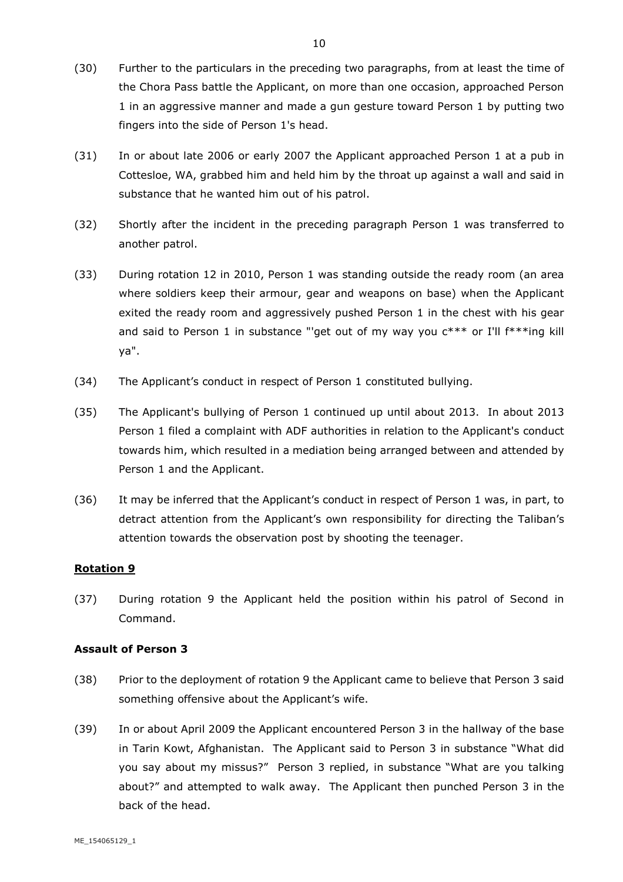- (30) Further to the particulars in the preceding two paragraphs, from at least the time of the Chora Pass battle the Applicant, on more than one occasion, approached Person 1 in an aggressive manner and made a gun gesture toward Person 1 by putting two fingers into the side of Person 1's head.
- (31) In or about late 2006 or early 2007 the Applicant approached Person 1 at a pub in Cottesloe, WA, grabbed him and held him by the throat up against a wall and said in substance that he wanted him out of his patrol.
- (32) Shortly after the incident in the preceding paragraph Person 1 was transferred to another patrol.
- (33) During rotation 12 in 2010, Person 1 was standing outside the ready room (an area where soldiers keep their armour, gear and weapons on base) when the Applicant exited the ready room and aggressively pushed Person 1 in the chest with his gear and said to Person 1 in substance "'get out of my way you c\*\*\* or I'll f\*\*\*ing kill ya".
- (34) The Applicant's conduct in respect of Person 1 constituted bullying.
- (35) The Applicant's bullying of Person 1 continued up until about 2013. In about 2013 Person 1 filed a complaint with ADF authorities in relation to the Applicant's conduct towards him, which resulted in a mediation being arranged between and attended by Person 1 and the Applicant.
- (36) It may be inferred that the Applicant's conduct in respect of Person 1 was, in part, to detract attention from the Applicant's own responsibility for directing the Taliban's attention towards the observation post by shooting the teenager.

## **Rotation 9**

(37) During rotation 9 the Applicant held the position within his patrol of Second in Command.

#### **Assault of Person 3**

- (38) Prior to the deployment of rotation 9 the Applicant came to believe that Person 3 said something offensive about the Applicant's wife.
- (39) In or about April 2009 the Applicant encountered Person 3 in the hallway of the base in Tarin Kowt, Afghanistan. The Applicant said to Person 3 in substance "What did you say about my missus?" Person 3 replied, in substance "What are you talking about?" and attempted to walk away. The Applicant then punched Person 3 in the back of the head.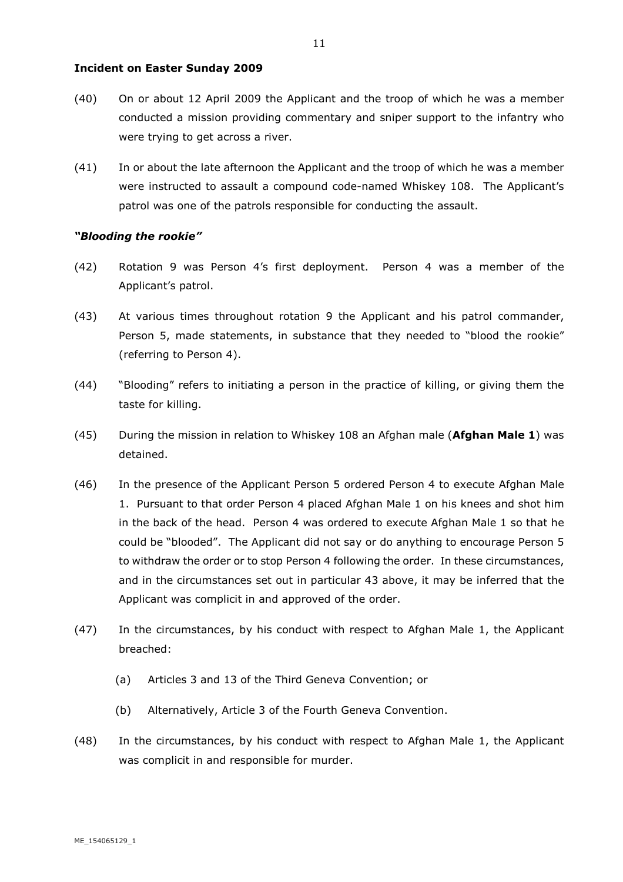#### **Incident on Easter Sunday 2009**

- (40) On or about 12 April 2009 the Applicant and the troop of which he was a member conducted a mission providing commentary and sniper support to the infantry who were trying to get across a river.
- (41) In or about the late afternoon the Applicant and the troop of which he was a member were instructed to assault a compound code-named Whiskey 108. The Applicant's patrol was one of the patrols responsible for conducting the assault.

#### *"Blooding the rookie"*

- (42) Rotation 9 was Person 4's first deployment. Person 4 was a member of the Applicant's patrol.
- (43) At various times throughout rotation 9 the Applicant and his patrol commander, Person 5, made statements, in substance that they needed to "blood the rookie" (referring to Person 4).
- (44) "Blooding" refers to initiating a person in the practice of killing, or giving them the taste for killing.
- (45) During the mission in relation to Whiskey 108 an Afghan male (**Afghan Male 1**) was detained.
- (46) In the presence of the Applicant Person 5 ordered Person 4 to execute Afghan Male 1. Pursuant to that order Person 4 placed Afghan Male 1 on his knees and shot him in the back of the head. Person 4 was ordered to execute Afghan Male 1 so that he could be "blooded". The Applicant did not say or do anything to encourage Person 5 to withdraw the order or to stop Person 4 following the order. In these circumstances, and in the circumstances set out in particular 43 above, it may be inferred that the Applicant was complicit in and approved of the order.
- (47) In the circumstances, by his conduct with respect to Afghan Male 1, the Applicant breached:
	- (a) Articles 3 and 13 of the Third Geneva Convention; or
	- (b) Alternatively, Article 3 of the Fourth Geneva Convention.
- (48) In the circumstances, by his conduct with respect to Afghan Male 1, the Applicant was complicit in and responsible for murder.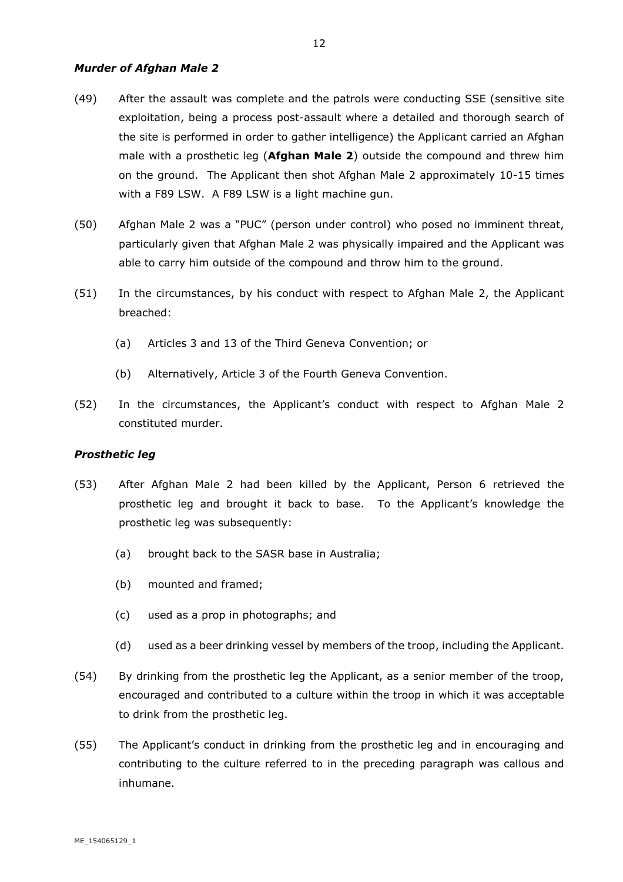#### *Murder of Afghan Male 2*

- (49) After the assault was complete and the patrols were conducting SSE (sensitive site exploitation, being a process post-assault where a detailed and thorough search of the site is performed in order to gather intelligence) the Applicant carried an Afghan male with a prosthetic leg (**Afghan Male 2**) outside the compound and threw him on the ground. The Applicant then shot Afghan Male 2 approximately 10-15 times with a F89 LSW. A F89 LSW is a light machine gun.
- (50) Afghan Male 2 was a "PUC" (person under control) who posed no imminent threat, particularly given that Afghan Male 2 was physically impaired and the Applicant was able to carry him outside of the compound and throw him to the ground.
- (51) In the circumstances, by his conduct with respect to Afghan Male 2, the Applicant breached:
	- (a) Articles 3 and 13 of the Third Geneva Convention; or
	- (b) Alternatively, Article 3 of the Fourth Geneva Convention.
- (52) In the circumstances, the Applicant's conduct with respect to Afghan Male 2 constituted murder.

#### *Prosthetic leg*

- (53) After Afghan Male 2 had been killed by the Applicant, Person 6 retrieved the prosthetic leg and brought it back to base. To the Applicant's knowledge the prosthetic leg was subsequently:
	- (a) brought back to the SASR base in Australia;
	- (b) mounted and framed;
	- (c) used as a prop in photographs; and
	- (d) used as a beer drinking vessel by members of the troop, including the Applicant.
- (54) By drinking from the prosthetic leg the Applicant, as a senior member of the troop, encouraged and contributed to a culture within the troop in which it was acceptable to drink from the prosthetic leg.
- (55) The Applicant's conduct in drinking from the prosthetic leg and in encouraging and contributing to the culture referred to in the preceding paragraph was callous and inhumane.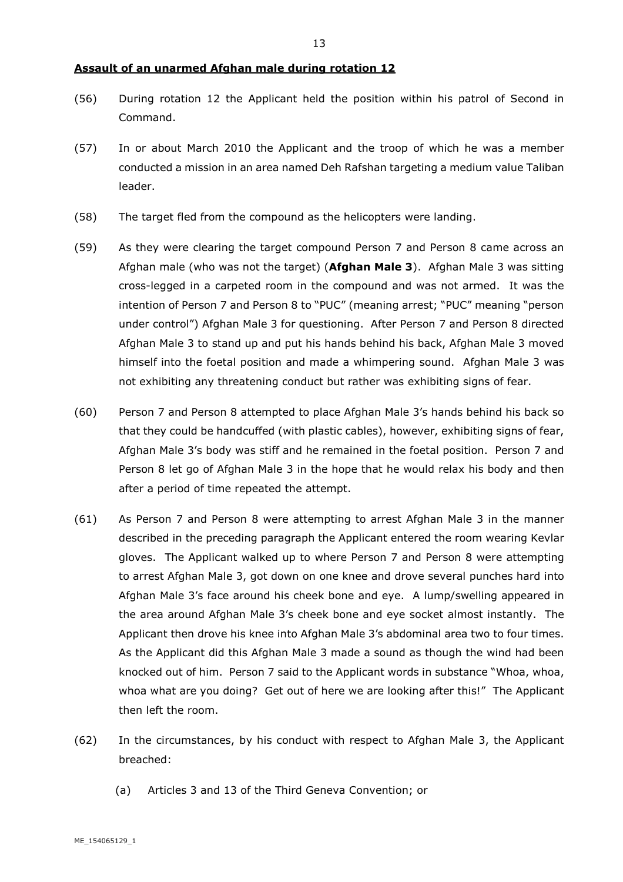#### **Assault of an unarmed Afghan male during rotation 12**

- (56) During rotation 12 the Applicant held the position within his patrol of Second in Command.
- (57) In or about March 2010 the Applicant and the troop of which he was a member conducted a mission in an area named Deh Rafshan targeting a medium value Taliban leader.
- (58) The target fled from the compound as the helicopters were landing.
- (59) As they were clearing the target compound Person 7 and Person 8 came across an Afghan male (who was not the target) (**Afghan Male 3**). Afghan Male 3 was sitting cross-legged in a carpeted room in the compound and was not armed. It was the intention of Person 7 and Person 8 to "PUC" (meaning arrest; "PUC" meaning "person under control") Afghan Male 3 for questioning. After Person 7 and Person 8 directed Afghan Male 3 to stand up and put his hands behind his back, Afghan Male 3 moved himself into the foetal position and made a whimpering sound. Afghan Male 3 was not exhibiting any threatening conduct but rather was exhibiting signs of fear.
- (60) Person 7 and Person 8 attempted to place Afghan Male 3's hands behind his back so that they could be handcuffed (with plastic cables), however, exhibiting signs of fear, Afghan Male 3's body was stiff and he remained in the foetal position. Person 7 and Person 8 let go of Afghan Male 3 in the hope that he would relax his body and then after a period of time repeated the attempt.
- (61) As Person 7 and Person 8 were attempting to arrest Afghan Male 3 in the manner described in the preceding paragraph the Applicant entered the room wearing Kevlar gloves. The Applicant walked up to where Person 7 and Person 8 were attempting to arrest Afghan Male 3, got down on one knee and drove several punches hard into Afghan Male 3's face around his cheek bone and eye. A lump/swelling appeared in the area around Afghan Male 3's cheek bone and eye socket almost instantly. The Applicant then drove his knee into Afghan Male 3's abdominal area two to four times. As the Applicant did this Afghan Male 3 made a sound as though the wind had been knocked out of him. Person 7 said to the Applicant words in substance "Whoa, whoa, whoa what are you doing? Get out of here we are looking after this!" The Applicant then left the room.
- (62) In the circumstances, by his conduct with respect to Afghan Male 3, the Applicant breached:
	- (a) Articles 3 and 13 of the Third Geneva Convention; or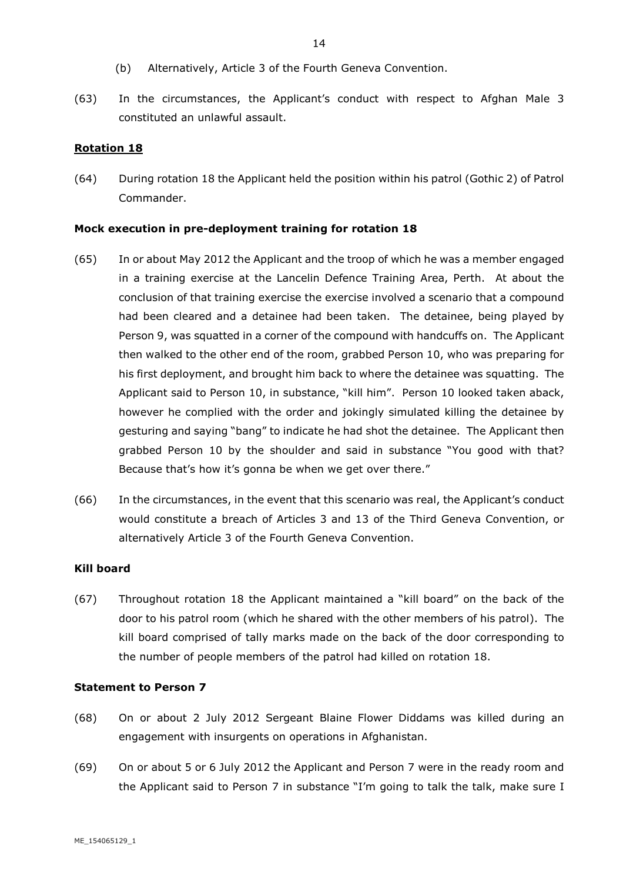- (b) Alternatively, Article 3 of the Fourth Geneva Convention.
- (63) In the circumstances, the Applicant's conduct with respect to Afghan Male 3 constituted an unlawful assault.

#### **Rotation 18**

(64) During rotation 18 the Applicant held the position within his patrol (Gothic 2) of Patrol Commander.

#### **Mock execution in pre-deployment training for rotation 18**

- (65) In or about May 2012 the Applicant and the troop of which he was a member engaged in a training exercise at the Lancelin Defence Training Area, Perth. At about the conclusion of that training exercise the exercise involved a scenario that a compound had been cleared and a detainee had been taken. The detainee, being played by Person 9, was squatted in a corner of the compound with handcuffs on. The Applicant then walked to the other end of the room, grabbed Person 10, who was preparing for his first deployment, and brought him back to where the detainee was squatting. The Applicant said to Person 10, in substance, "kill him". Person 10 looked taken aback, however he complied with the order and jokingly simulated killing the detainee by gesturing and saying "bang" to indicate he had shot the detainee. The Applicant then grabbed Person 10 by the shoulder and said in substance "You good with that? Because that's how it's gonna be when we get over there."
- (66) In the circumstances, in the event that this scenario was real, the Applicant's conduct would constitute a breach of Articles 3 and 13 of the Third Geneva Convention, or alternatively Article 3 of the Fourth Geneva Convention.

# **Kill board**

(67) Throughout rotation 18 the Applicant maintained a "kill board" on the back of the door to his patrol room (which he shared with the other members of his patrol). The kill board comprised of tally marks made on the back of the door corresponding to the number of people members of the patrol had killed on rotation 18.

#### **Statement to Person 7**

- (68) On or about 2 July 2012 Sergeant Blaine Flower Diddams was killed during an engagement with insurgents on operations in Afghanistan.
- (69) On or about 5 or 6 July 2012 the Applicant and Person 7 were in the ready room and the Applicant said to Person 7 in substance "I'm going to talk the talk, make sure I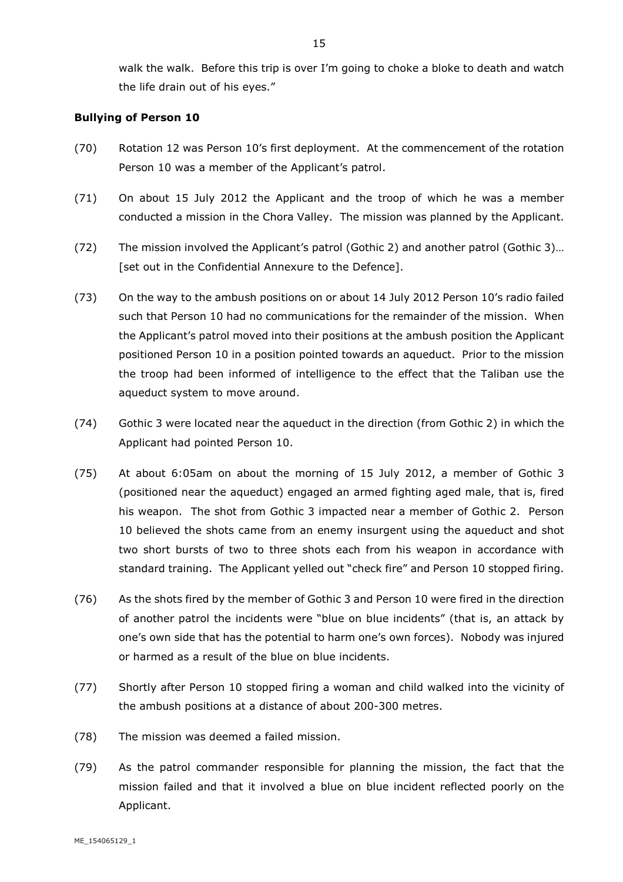walk the walk. Before this trip is over I'm going to choke a bloke to death and watch the life drain out of his eyes."

#### **Bullying of Person 10**

- (70) Rotation 12 was Person 10's first deployment. At the commencement of the rotation Person 10 was a member of the Applicant's patrol.
- (71) On about 15 July 2012 the Applicant and the troop of which he was a member conducted a mission in the Chora Valley. The mission was planned by the Applicant.
- (72) The mission involved the Applicant's patrol (Gothic 2) and another patrol (Gothic 3)… [set out in the Confidential Annexure to the Defence].
- (73) On the way to the ambush positions on or about 14 July 2012 Person 10's radio failed such that Person 10 had no communications for the remainder of the mission. When the Applicant's patrol moved into their positions at the ambush position the Applicant positioned Person 10 in a position pointed towards an aqueduct. Prior to the mission the troop had been informed of intelligence to the effect that the Taliban use the aqueduct system to move around.
- (74) Gothic 3 were located near the aqueduct in the direction (from Gothic 2) in which the Applicant had pointed Person 10.
- (75) At about 6:05am on about the morning of 15 July 2012, a member of Gothic 3 (positioned near the aqueduct) engaged an armed fighting aged male, that is, fired his weapon. The shot from Gothic 3 impacted near a member of Gothic 2. Person 10 believed the shots came from an enemy insurgent using the aqueduct and shot two short bursts of two to three shots each from his weapon in accordance with standard training. The Applicant yelled out "check fire" and Person 10 stopped firing.
- (76) As the shots fired by the member of Gothic 3 and Person 10 were fired in the direction of another patrol the incidents were "blue on blue incidents" (that is, an attack by one's own side that has the potential to harm one's own forces). Nobody was injured or harmed as a result of the blue on blue incidents.
- (77) Shortly after Person 10 stopped firing a woman and child walked into the vicinity of the ambush positions at a distance of about 200-300 metres.
- (78) The mission was deemed a failed mission.
- (79) As the patrol commander responsible for planning the mission, the fact that the mission failed and that it involved a blue on blue incident reflected poorly on the Applicant.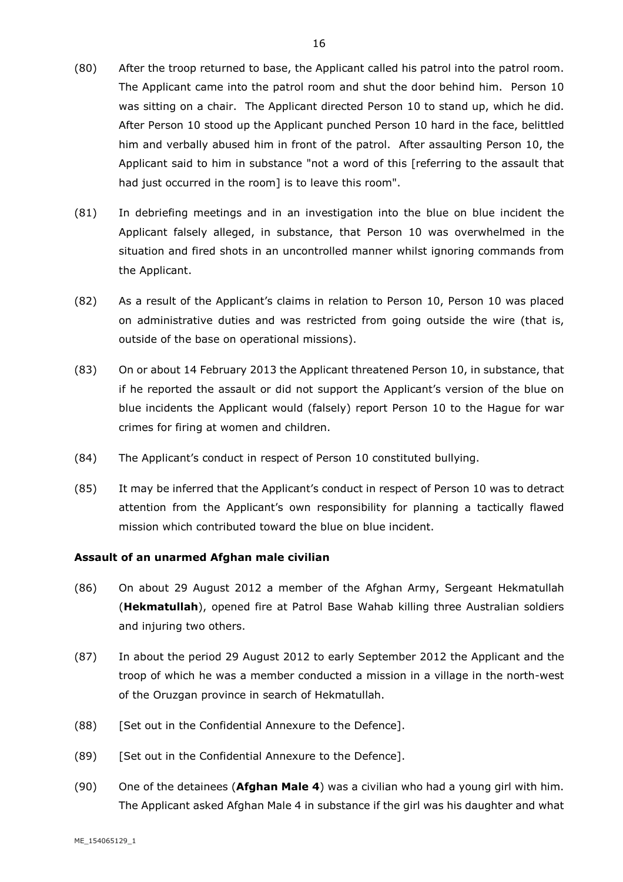- (80) After the troop returned to base, the Applicant called his patrol into the patrol room. The Applicant came into the patrol room and shut the door behind him. Person 10 was sitting on a chair. The Applicant directed Person 10 to stand up, which he did. After Person 10 stood up the Applicant punched Person 10 hard in the face, belittled him and verbally abused him in front of the patrol. After assaulting Person 10, the Applicant said to him in substance "not a word of this [referring to the assault that had just occurred in the room] is to leave this room".
- (81) In debriefing meetings and in an investigation into the blue on blue incident the Applicant falsely alleged, in substance, that Person 10 was overwhelmed in the situation and fired shots in an uncontrolled manner whilst ignoring commands from the Applicant.
- (82) As a result of the Applicant's claims in relation to Person 10, Person 10 was placed on administrative duties and was restricted from going outside the wire (that is, outside of the base on operational missions).
- (83) On or about 14 February 2013 the Applicant threatened Person 10, in substance, that if he reported the assault or did not support the Applicant's version of the blue on blue incidents the Applicant would (falsely) report Person 10 to the Hague for war crimes for firing at women and children.
- (84) The Applicant's conduct in respect of Person 10 constituted bullying.
- (85) It may be inferred that the Applicant's conduct in respect of Person 10 was to detract attention from the Applicant's own responsibility for planning a tactically flawed mission which contributed toward the blue on blue incident.

#### **Assault of an unarmed Afghan male civilian**

- (86) On about 29 August 2012 a member of the Afghan Army, Sergeant Hekmatullah (**Hekmatullah**), opened fire at Patrol Base Wahab killing three Australian soldiers and injuring two others.
- (87) In about the period 29 August 2012 to early September 2012 the Applicant and the troop of which he was a member conducted a mission in a village in the north-west of the Oruzgan province in search of Hekmatullah.
- (88) [Set out in the Confidential Annexure to the Defence].
- (89) [Set out in the Confidential Annexure to the Defence].
- (90) One of the detainees (**Afghan Male 4**) was a civilian who had a young girl with him. The Applicant asked Afghan Male 4 in substance if the girl was his daughter and what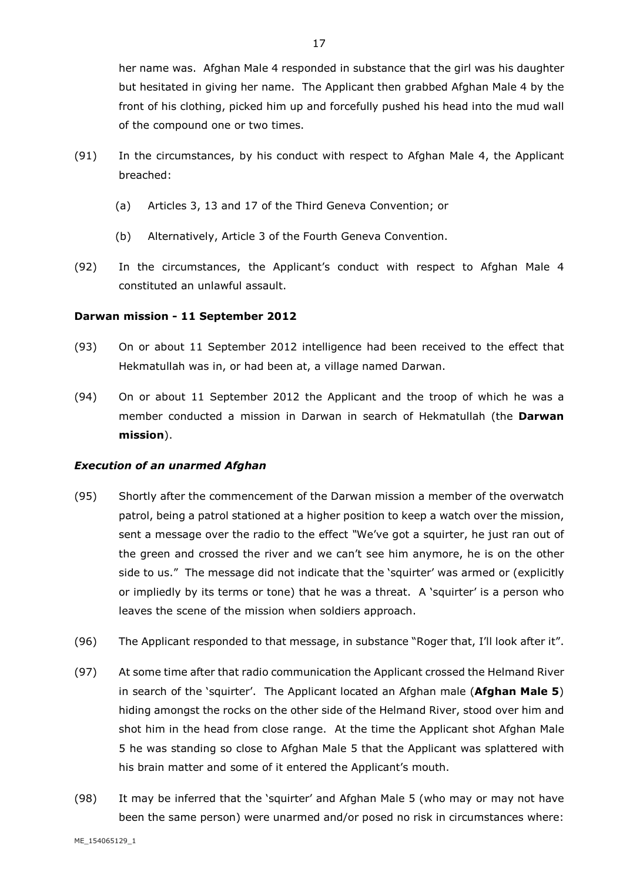her name was. Afghan Male 4 responded in substance that the girl was his daughter but hesitated in giving her name. The Applicant then grabbed Afghan Male 4 by the front of his clothing, picked him up and forcefully pushed his head into the mud wall of the compound one or two times.

- (91) In the circumstances, by his conduct with respect to Afghan Male 4, the Applicant breached:
	- (a) Articles 3, 13 and 17 of the Third Geneva Convention; or
	- (b) Alternatively, Article 3 of the Fourth Geneva Convention.
- (92) In the circumstances, the Applicant's conduct with respect to Afghan Male 4 constituted an unlawful assault.

#### **Darwan mission - 11 September 2012**

- (93) On or about 11 September 2012 intelligence had been received to the effect that Hekmatullah was in, or had been at, a village named Darwan.
- (94) On or about 11 September 2012 the Applicant and the troop of which he was a member conducted a mission in Darwan in search of Hekmatullah (the **Darwan mission**).

#### *Execution of an unarmed Afghan*

- (95) Shortly after the commencement of the Darwan mission a member of the overwatch patrol, being a patrol stationed at a higher position to keep a watch over the mission, sent a message over the radio to the effect *"*We've got a squirter, he just ran out of the green and crossed the river and we can't see him anymore, he is on the other side to us." The message did not indicate that the 'squirter' was armed or (explicitly or impliedly by its terms or tone) that he was a threat. A 'squirter' is a person who leaves the scene of the mission when soldiers approach.
- (96) The Applicant responded to that message, in substance "Roger that, I'll look after it".
- (97) At some time after that radio communication the Applicant crossed the Helmand River in search of the 'squirter'. The Applicant located an Afghan male (**Afghan Male 5**) hiding amongst the rocks on the other side of the Helmand River, stood over him and shot him in the head from close range. At the time the Applicant shot Afghan Male 5 he was standing so close to Afghan Male 5 that the Applicant was splattered with his brain matter and some of it entered the Applicant's mouth.
- (98) It may be inferred that the 'squirter' and Afghan Male 5 (who may or may not have been the same person) were unarmed and/or posed no risk in circumstances where: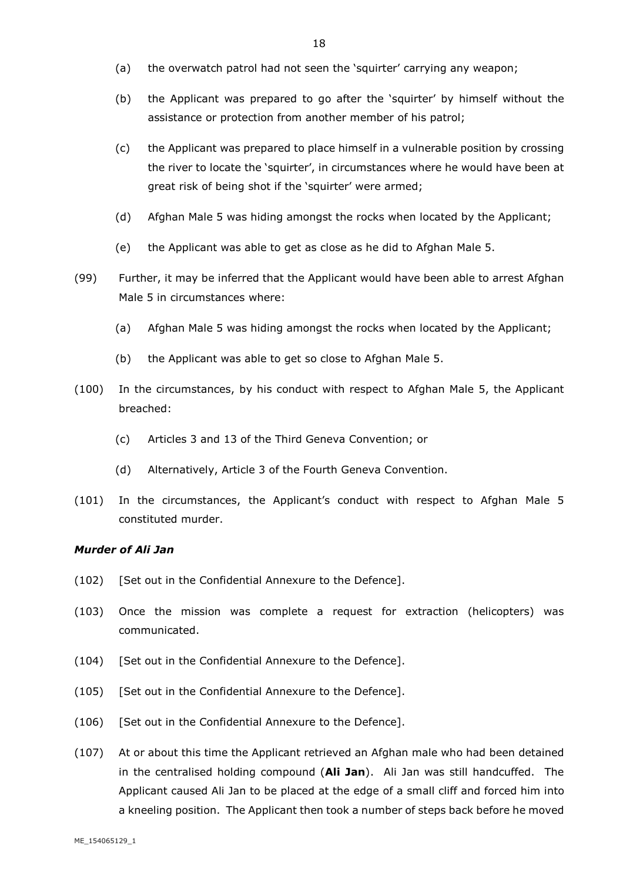- (a) the overwatch patrol had not seen the 'squirter' carrying any weapon;
- (b) the Applicant was prepared to go after the 'squirter' by himself without the assistance or protection from another member of his patrol;
- (c) the Applicant was prepared to place himself in a vulnerable position by crossing the river to locate the 'squirter', in circumstances where he would have been at great risk of being shot if the 'squirter' were armed;
- (d) Afghan Male 5 was hiding amongst the rocks when located by the Applicant;
- (e) the Applicant was able to get as close as he did to Afghan Male 5.
- (99) Further, it may be inferred that the Applicant would have been able to arrest Afghan Male 5 in circumstances where:
	- (a) Afghan Male 5 was hiding amongst the rocks when located by the Applicant;
	- (b) the Applicant was able to get so close to Afghan Male 5.
- (100) In the circumstances, by his conduct with respect to Afghan Male 5, the Applicant breached:
	- (c) Articles 3 and 13 of the Third Geneva Convention; or
	- (d) Alternatively, Article 3 of the Fourth Geneva Convention.
- (101) In the circumstances, the Applicant's conduct with respect to Afghan Male 5 constituted murder.

#### *Murder of Ali Jan*

- (102) [Set out in the Confidential Annexure to the Defence].
- (103) Once the mission was complete a request for extraction (helicopters) was communicated.
- (104) [Set out in the Confidential Annexure to the Defence].
- (105) [Set out in the Confidential Annexure to the Defence].
- (106) [Set out in the Confidential Annexure to the Defence].
- (107) At or about this time the Applicant retrieved an Afghan male who had been detained in the centralised holding compound (**Ali Jan**). Ali Jan was still handcuffed. The Applicant caused Ali Jan to be placed at the edge of a small cliff and forced him into a kneeling position. The Applicant then took a number of steps back before he moved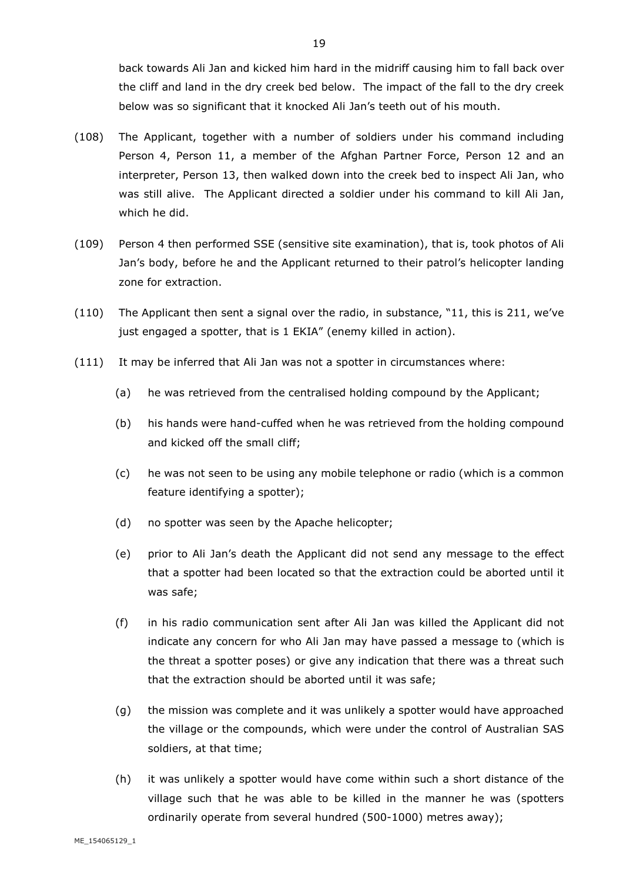back towards Ali Jan and kicked him hard in the midriff causing him to fall back over the cliff and land in the dry creek bed below. The impact of the fall to the dry creek below was so significant that it knocked Ali Jan's teeth out of his mouth.

- (108) The Applicant, together with a number of soldiers under his command including Person 4, Person 11, a member of the Afghan Partner Force, Person 12 and an interpreter, Person 13, then walked down into the creek bed to inspect Ali Jan, who was still alive. The Applicant directed a soldier under his command to kill Ali Jan, which he did.
- (109) Person 4 then performed SSE (sensitive site examination), that is, took photos of Ali Jan's body, before he and the Applicant returned to their patrol's helicopter landing zone for extraction.
- (110) The Applicant then sent a signal over the radio, in substance, "11, this is 211, we've just engaged a spotter, that is 1 EKIA" (enemy killed in action).
- (111) It may be inferred that Ali Jan was not a spotter in circumstances where:
	- (a) he was retrieved from the centralised holding compound by the Applicant;
	- (b) his hands were hand-cuffed when he was retrieved from the holding compound and kicked off the small cliff;
	- (c) he was not seen to be using any mobile telephone or radio (which is a common feature identifying a spotter);
	- (d) no spotter was seen by the Apache helicopter;
	- (e) prior to Ali Jan's death the Applicant did not send any message to the effect that a spotter had been located so that the extraction could be aborted until it was safe;
	- (f) in his radio communication sent after Ali Jan was killed the Applicant did not indicate any concern for who Ali Jan may have passed a message to (which is the threat a spotter poses) or give any indication that there was a threat such that the extraction should be aborted until it was safe;
	- (g) the mission was complete and it was unlikely a spotter would have approached the village or the compounds, which were under the control of Australian SAS soldiers, at that time;
	- (h) it was unlikely a spotter would have come within such a short distance of the village such that he was able to be killed in the manner he was (spotters ordinarily operate from several hundred (500-1000) metres away);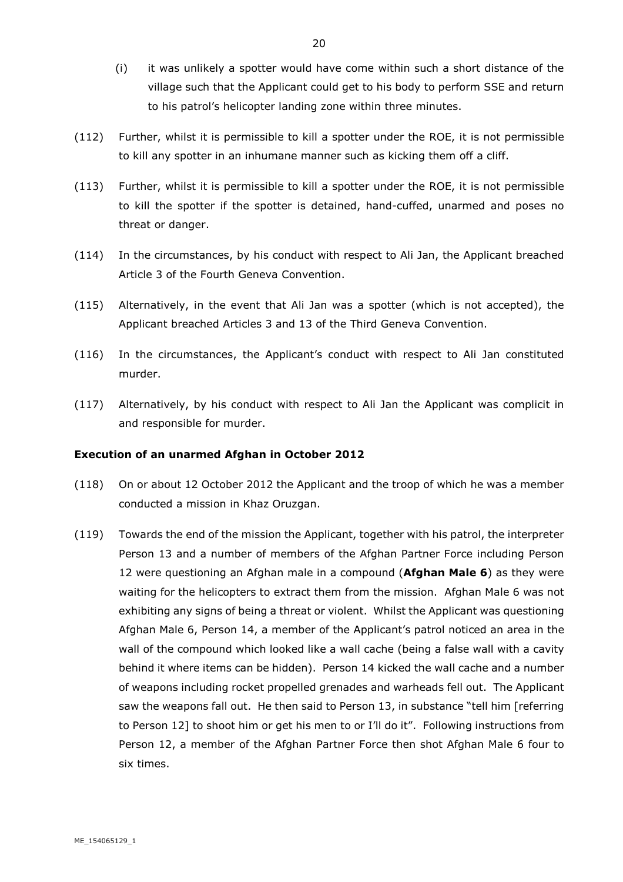- (i) it was unlikely a spotter would have come within such a short distance of the village such that the Applicant could get to his body to perform SSE and return to his patrol's helicopter landing zone within three minutes.
- (112) Further, whilst it is permissible to kill a spotter under the ROE, it is not permissible to kill any spotter in an inhumane manner such as kicking them off a cliff.
- (113) Further, whilst it is permissible to kill a spotter under the ROE, it is not permissible to kill the spotter if the spotter is detained, hand-cuffed, unarmed and poses no threat or danger.
- (114) In the circumstances, by his conduct with respect to Ali Jan, the Applicant breached Article 3 of the Fourth Geneva Convention.
- (115) Alternatively, in the event that Ali Jan was a spotter (which is not accepted), the Applicant breached Articles 3 and 13 of the Third Geneva Convention.
- (116) In the circumstances, the Applicant's conduct with respect to Ali Jan constituted murder.
- (117) Alternatively, by his conduct with respect to Ali Jan the Applicant was complicit in and responsible for murder.

#### **Execution of an unarmed Afghan in October 2012**

- (118) On or about 12 October 2012 the Applicant and the troop of which he was a member conducted a mission in Khaz Oruzgan.
- (119) Towards the end of the mission the Applicant, together with his patrol, the interpreter Person 13 and a number of members of the Afghan Partner Force including Person 12 were questioning an Afghan male in a compound (**Afghan Male 6**) as they were waiting for the helicopters to extract them from the mission. Afghan Male 6 was not exhibiting any signs of being a threat or violent. Whilst the Applicant was questioning Afghan Male 6, Person 14, a member of the Applicant's patrol noticed an area in the wall of the compound which looked like a wall cache (being a false wall with a cavity behind it where items can be hidden). Person 14 kicked the wall cache and a number of weapons including rocket propelled grenades and warheads fell out. The Applicant saw the weapons fall out. He then said to Person 13, in substance "tell him [referring to Person 12] to shoot him or get his men to or I'll do it". Following instructions from Person 12, a member of the Afghan Partner Force then shot Afghan Male 6 four to six times.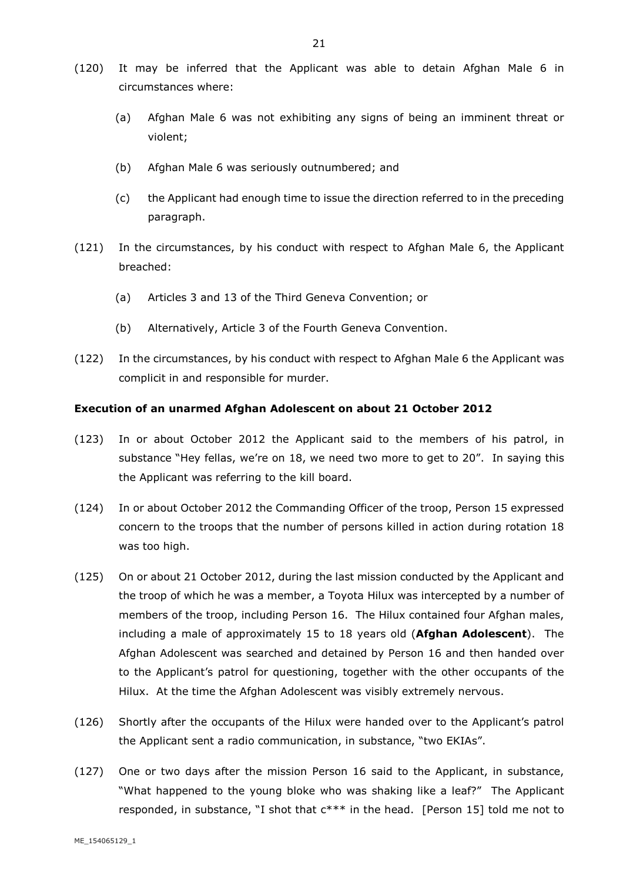- (120) It may be inferred that the Applicant was able to detain Afghan Male 6 in circumstances where:
	- (a) Afghan Male 6 was not exhibiting any signs of being an imminent threat or violent;
	- (b) Afghan Male 6 was seriously outnumbered; and
	- (c) the Applicant had enough time to issue the direction referred to in the preceding paragraph.
- (121) In the circumstances, by his conduct with respect to Afghan Male 6, the Applicant breached:
	- (a) Articles 3 and 13 of the Third Geneva Convention; or
	- (b) Alternatively, Article 3 of the Fourth Geneva Convention.
- (122) In the circumstances, by his conduct with respect to Afghan Male 6 the Applicant was complicit in and responsible for murder.

## **Execution of an unarmed Afghan Adolescent on about 21 October 2012**

- (123) In or about October 2012 the Applicant said to the members of his patrol, in substance "Hey fellas, we're on 18, we need two more to get to 20". In saying this the Applicant was referring to the kill board.
- (124) In or about October 2012 the Commanding Officer of the troop, Person 15 expressed concern to the troops that the number of persons killed in action during rotation 18 was too high.
- (125) On or about 21 October 2012, during the last mission conducted by the Applicant and the troop of which he was a member, a Toyota Hilux was intercepted by a number of members of the troop, including Person 16. The Hilux contained four Afghan males, including a male of approximately 15 to 18 years old (**Afghan Adolescent**). The Afghan Adolescent was searched and detained by Person 16 and then handed over to the Applicant's patrol for questioning, together with the other occupants of the Hilux. At the time the Afghan Adolescent was visibly extremely nervous.
- (126) Shortly after the occupants of the Hilux were handed over to the Applicant's patrol the Applicant sent a radio communication, in substance, "two EKIAs".
- (127) One or two days after the mission Person 16 said to the Applicant, in substance, "What happened to the young bloke who was shaking like a leaf?" The Applicant responded, in substance, "I shot that  $c***$  in the head. [Person 15] told me not to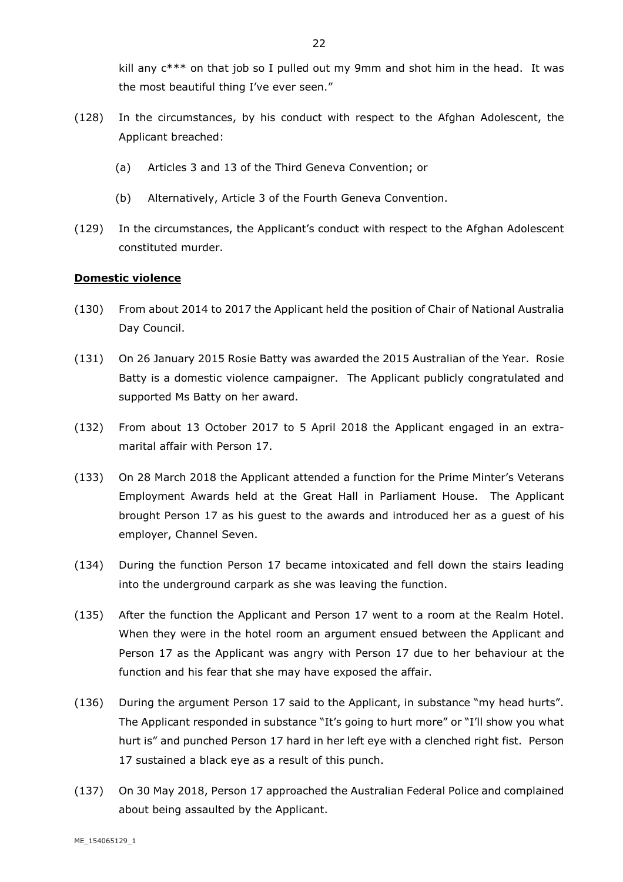kill any  $c^{***}$  on that job so I pulled out my 9mm and shot him in the head. It was the most beautiful thing I've ever seen."

- (128) In the circumstances, by his conduct with respect to the Afghan Adolescent, the Applicant breached:
	- (a) Articles 3 and 13 of the Third Geneva Convention; or
	- (b) Alternatively, Article 3 of the Fourth Geneva Convention.
- (129) In the circumstances, the Applicant's conduct with respect to the Afghan Adolescent constituted murder.

#### **Domestic violence**

- (130) From about 2014 to 2017 the Applicant held the position of Chair of National Australia Day Council.
- (131) On 26 January 2015 Rosie Batty was awarded the 2015 Australian of the Year. Rosie Batty is a domestic violence campaigner. The Applicant publicly congratulated and supported Ms Batty on her award.
- (132) From about 13 October 2017 to 5 April 2018 the Applicant engaged in an extramarital affair with Person 17.
- (133) On 28 March 2018 the Applicant attended a function for the Prime Minter's Veterans Employment Awards held at the Great Hall in Parliament House. The Applicant brought Person 17 as his guest to the awards and introduced her as a guest of his employer, Channel Seven.
- (134) During the function Person 17 became intoxicated and fell down the stairs leading into the underground carpark as she was leaving the function.
- (135) After the function the Applicant and Person 17 went to a room at the Realm Hotel. When they were in the hotel room an argument ensued between the Applicant and Person 17 as the Applicant was angry with Person 17 due to her behaviour at the function and his fear that she may have exposed the affair.
- (136) During the argument Person 17 said to the Applicant, in substance "my head hurts". The Applicant responded in substance "It's going to hurt more" or "I'll show you what hurt is" and punched Person 17 hard in her left eye with a clenched right fist. Person 17 sustained a black eye as a result of this punch.
- (137) On 30 May 2018, Person 17 approached the Australian Federal Police and complained about being assaulted by the Applicant.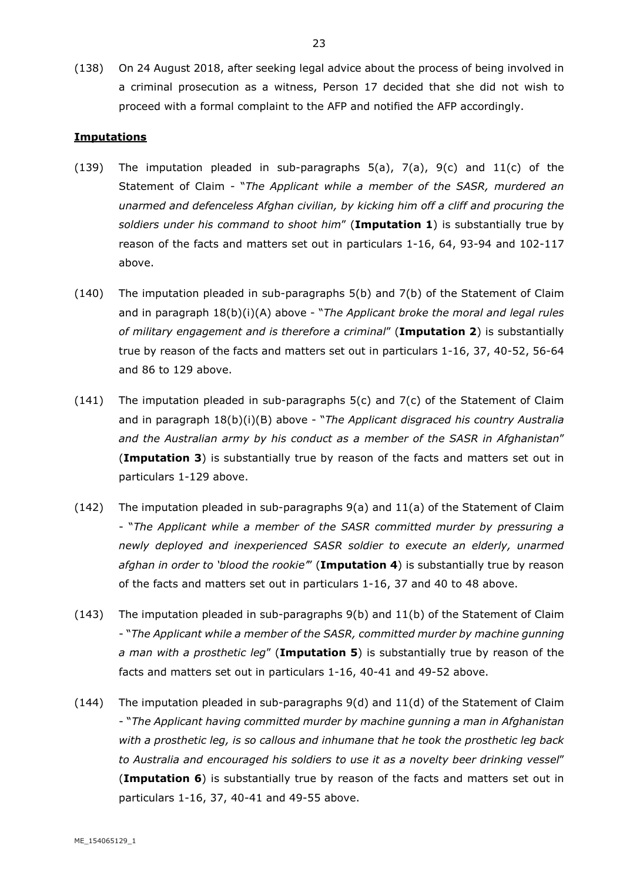(138) On 24 August 2018, after seeking legal advice about the process of being involved in a criminal prosecution as a witness, Person 17 decided that she did not wish to proceed with a formal complaint to the AFP and notified the AFP accordingly.

#### **Imputations**

- (139) The imputation pleaded in sub-paragraphs  $5(a)$ ,  $7(a)$ ,  $9(c)$  and  $11(c)$  of the Statement of Claim - "*The Applicant while a member of the SASR, murdered an unarmed and defenceless Afghan civilian, by kicking him off a cliff and procuring the soldiers under his command to shoot him*" (**Imputation 1**) is substantially true by reason of the facts and matters set out in particulars 1-16, 64, 93-94 and 102-117 above.
- (140) The imputation pleaded in sub-paragraphs 5(b) and 7(b) of the Statement of Claim and in paragraph 18(b)(i)(A) above - "*The Applicant broke the moral and legal rules of military engagement and is therefore a criminal*" (**Imputation 2**) is substantially true by reason of the facts and matters set out in particulars 1-16, 37, 40-52, 56-64 and 86 to 129 above.
- (141) The imputation pleaded in sub-paragraphs 5(c) and 7(c) of the Statement of Claim and in paragraph 18(b)(i)(B) above - "*The Applicant disgraced his country Australia and the Australian army by his conduct as a member of the SASR in Afghanistan*" (**Imputation 3**) is substantially true by reason of the facts and matters set out in particulars 1-129 above.
- $(142)$  The imputation pleaded in sub-paragraphs  $9(a)$  and  $11(a)$  of the Statement of Claim - "*The Applicant while a member of the SASR committed murder by pressuring a newly deployed and inexperienced SASR soldier to execute an elderly, unarmed afghan in order to 'blood the rookie'*" (**Imputation 4**) is substantially true by reason of the facts and matters set out in particulars 1-16, 37 and 40 to 48 above.
- (143) The imputation pleaded in sub-paragraphs 9(b) and 11(b) of the Statement of Claim - "*The Applicant while a member of the SASR, committed murder by machine gunning a man with a prosthetic leg*" (**Imputation 5**) is substantially true by reason of the facts and matters set out in particulars 1-16, 40-41 and 49-52 above.
- (144) The imputation pleaded in sub-paragraphs 9(d) and 11(d) of the Statement of Claim - "*The Applicant having committed murder by machine gunning a man in Afghanistan with a prosthetic leg, is so callous and inhumane that he took the prosthetic leg back to Australia and encouraged his soldiers to use it as a novelty beer drinking vessel*" (**Imputation 6**) is substantially true by reason of the facts and matters set out in particulars 1-16, 37, 40-41 and 49-55 above.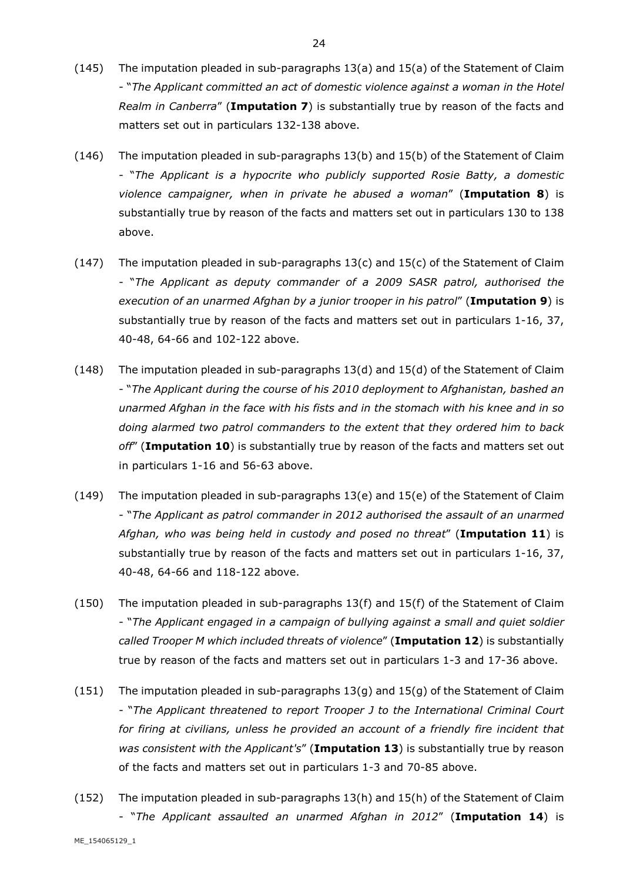- (145) The imputation pleaded in sub-paragraphs 13(a) and 15(a) of the Statement of Claim - "*The Applicant committed an act of domestic violence against a woman in the Hotel Realm in Canberra*" (**Imputation 7**) is substantially true by reason of the facts and matters set out in particulars 132-138 above.
- (146) The imputation pleaded in sub-paragraphs 13(b) and 15(b) of the Statement of Claim - "*The Applicant is a hypocrite who publicly supported Rosie Batty, a domestic violence campaigner, when in private he abused a woman*" (**Imputation 8**) is substantially true by reason of the facts and matters set out in particulars 130 to 138 above.
- (147) The imputation pleaded in sub-paragraphs 13(c) and 15(c) of the Statement of Claim - "*The Applicant as deputy commander of a 2009 SASR patrol, authorised the execution of an unarmed Afghan by a junior trooper in his patrol*" (**Imputation 9**) is substantially true by reason of the facts and matters set out in particulars 1-16, 37, 40-48, 64-66 and 102-122 above.
- (148) The imputation pleaded in sub-paragraphs 13(d) and 15(d) of the Statement of Claim - "*The Applicant during the course of his 2010 deployment to Afghanistan, bashed an unarmed Afghan in the face with his fists and in the stomach with his knee and in so doing alarmed two patrol commanders to the extent that they ordered him to back off*" (**Imputation 10**) is substantially true by reason of the facts and matters set out in particulars 1-16 and 56-63 above.
- (149) The imputation pleaded in sub-paragraphs 13(e) and 15(e) of the Statement of Claim - "*The Applicant as patrol commander in 2012 authorised the assault of an unarmed Afghan, who was being held in custody and posed no threat*" (**Imputation 11**) is substantially true by reason of the facts and matters set out in particulars 1-16, 37, 40-48, 64-66 and 118-122 above.
- (150) The imputation pleaded in sub-paragraphs 13(f) and 15(f) of the Statement of Claim - "*The Applicant engaged in a campaign of bullying against a small and quiet soldier called Trooper M which included threats of violence*" (**Imputation 12**) is substantially true by reason of the facts and matters set out in particulars 1-3 and 17-36 above.
- (151) The imputation pleaded in sub-paragraphs 13(g) and 15(g) of the Statement of Claim - "*The Applicant threatened to report Trooper J to the International Criminal Court for firing at civilians, unless he provided an account of a friendly fire incident that was consistent with the Applicant's*" (**Imputation 13**) is substantially true by reason of the facts and matters set out in particulars 1-3 and 70-85 above.
- (152) The imputation pleaded in sub-paragraphs 13(h) and 15(h) of the Statement of Claim - "*The Applicant assaulted an unarmed Afghan in 2012*" (**Imputation 14**) is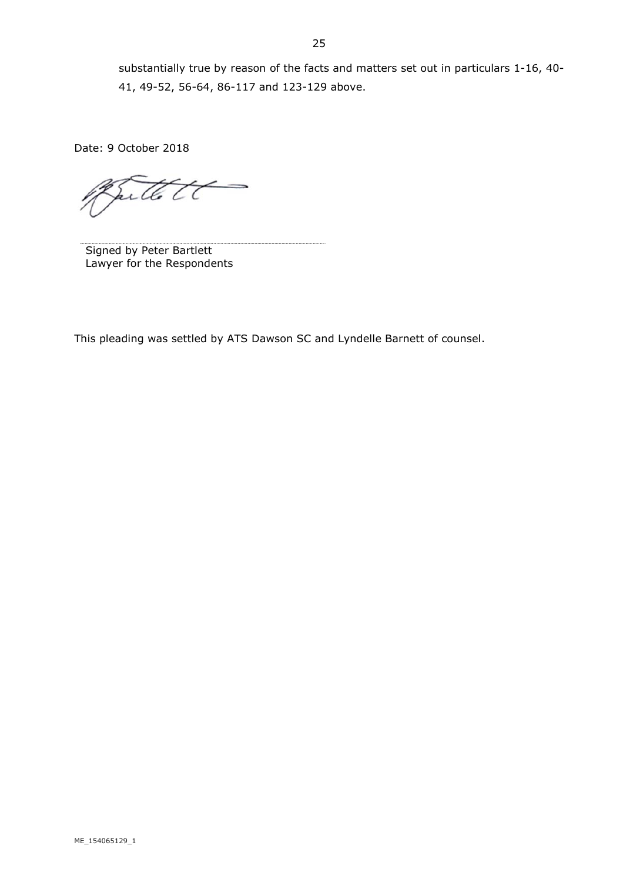Date: 9 October 2018

arttett

Signed by Peter Bartlett Lawyer for the Respondents

This pleading was settled by ATS Dawson SC and Lyndelle Barnett of counsel.